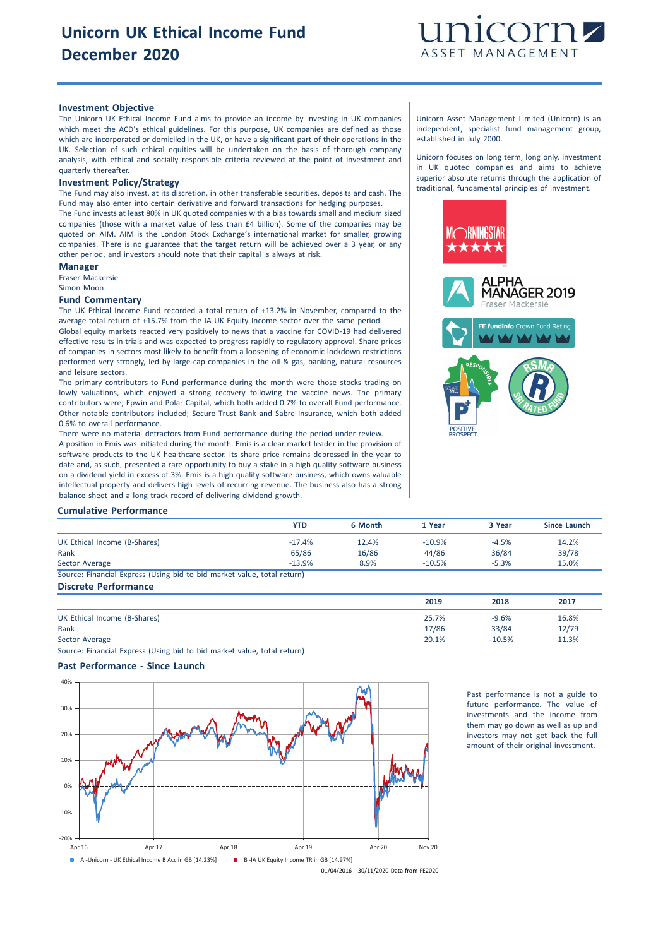

## **Investment Objective**

The Unicorn UK Ethical Income Fund aims to provide an income by investing in UK companies which meet the ACD's ethical guidelines. For this purpose, UK companies are defined as those which are incorporated or domiciled in the UK, or have a significant part of their operations in the UK. Selection of such ethical equities will be undertaken on the basis of thorough company analysis, with ethical and socially responsible criteria reviewed at the point of investment and quarterly thereafter.

#### **Investment Policy/Strategy**

The Fund may also invest, at its discretion, in other transferable securities, deposits and cash. The Fund may also enter into certain derivative and forward transactions for hedging purposes.

The Fund invests at least 80% in UK quoted companies with a bias towards small and medium sized companies (those with a market value of less than £4 billion). Some of the companies may be quoted on AIM. AIM is the London Stock Exchange's international market for smaller, growing companies. There is no guarantee that the target return will be achieved over a 3 year, or any other period, and investors should note that their capital is always at risk.

### **Manager**

Fraser Mackersie Simon Moon

#### **Fund Commentary**

The UK Ethical Income Fund recorded a total return of +13.2% in November, compared to the average total return of +15.7% from the IA UK Equity Income sector over the same period. Global equity markets reacted very positively to news that a vaccine for COVID-19 had delivered

effective results in trials and was expected to progress rapidly to regulatory approval. Share prices of companies in sectors most likely to benefit from a loosening of economic lockdown restrictions performed very strongly, led by large-cap companies in the oil & gas, banking, natural resources and leisure sectors.

The primary contributors to Fund performance during the month were those stocks trading on lowly valuations, which enjoyed a strong recovery following the vaccine news. The primary contributors were; Epwin and Polar Capital, which both added 0.7% to overall Fund performance. Other notable contributors included; Secure Trust Bank and Sabre Insurance, which both added 0.6% to overall performance.

There were no material detractors from Fund performance during the period under review.

A position in Emis was initiated during the month. Emis is a clear market leader in the provision of software products to the UK healthcare sector. Its share price remains depressed in the year to date and, as such, presented a rare opportunity to buy a stake in a high quality software business on a dividend yield in excess of 3%. Emis is a high quality software business, which owns valuable intellectual property and delivers high levels of recurring revenue. The business also has a strong balance sheet and a long track record of delivering dividend growth.

Unicorn Asset Management Limited (Unicorn) is an independent, specialist fund management group, established in July 2000.

Unicorn focuses on long term, long only, investment in UK quoted companies and aims to achieve superior absolute returns through the application of traditional, fundamental principles of investment.



#### **Cumulative Performance**

|                                                                         | <b>YTD</b> | 6 Month | 1 Year    | 3 Year  | Since Launch |
|-------------------------------------------------------------------------|------------|---------|-----------|---------|--------------|
| UK Ethical Income (B-Shares)                                            | $-17.4%$   | 12.4%   | $-10.9\%$ | $-4.5%$ | 14.2%        |
| Rank                                                                    | 65/86      | 16/86   | 44/86     | 36/84   | 39/78        |
| Sector Average                                                          | $-13.9%$   | 8.9%    | $-10.5%$  | $-5.3%$ | 15.0%        |
| Source: Financial Express (Using bid to bid market value, total return) |            |         |           |         |              |

#### **Discrete Performance**

| 2019  | 2018     | 2017  |
|-------|----------|-------|
| 25.7% | $-9.6%$  | 16.8% |
| 17/86 | 33/84    | 12/79 |
| 20.1% | $-10.5%$ | 11.3% |
|       |          |       |

Source: Financial Express (Using bid to bid market value, total return)

## **Past Performance - Since Launch**



Past performance is not a guide to future performance. The value of investments and the income from them may go down as well as up and investors may not get back the full amount of their original investment.